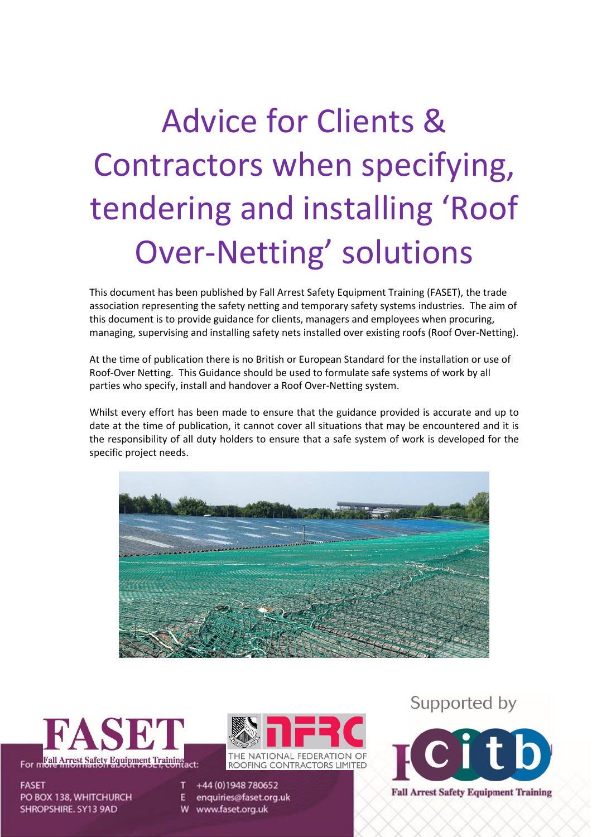# Advice for Clients & Contractors when specifying, tendering and installing 'Roof Over-Netting' solutions

This document has been published by Fall Arrest Safety Equipment Training (FASET), the trade association representing the safety netting and temporary safety systems industries. The aim of this document is to provide guidance for clients, managers and employees when procuring, managing, supervising and installing safety nets installed over existing roofs (Roof Over-Netting).

At the time of publication there is no British or European Standard for the installation or use of Roof-Over Netting. This Guidance should be used to formulate safe systems of work by all parties who specify, install and handover a Roof Over-Netting system.

Whilst every effort has been made to ensure that the guidance provided is accurate and up to date at the time of publication, it cannot cover all situations that may be encountered and it is the responsibility of all duty holders to ensure that a safe system of work is developed for the specific project needs.





**FASET** PO BOX 138, WHITCHURCH SHROPSHIRE. SY13 9AD



+44 (0) 1948 780652 enquiries@faset.org.uk

W www.faset.org.uk

Supported by

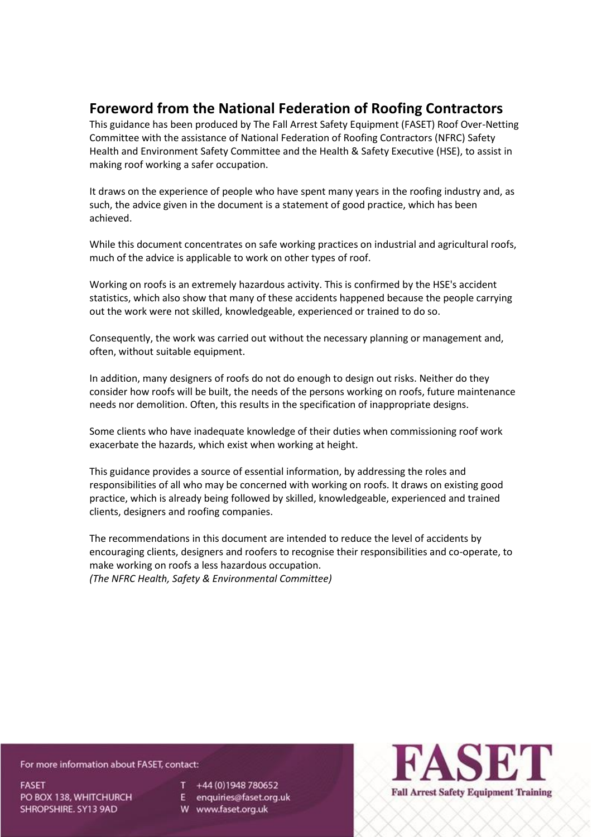## **Foreword from the National Federation of Roofing Contractors**

This guidance has been produced by The Fall Arrest Safety Equipment (FASET) Roof Over-Netting Committee with the assistance of National Federation of Roofing Contractors (NFRC) Safety Health and Environment Safety Committee and the Health & Safety Executive (HSE), to assist in making roof working a safer occupation.

It draws on the experience of people who have spent many years in the roofing industry and, as such, the advice given in the document is a statement of good practice, which has been achieved.

While this document concentrates on safe working practices on industrial and agricultural roofs, much of the advice is applicable to work on other types of roof.

Working on roofs is an extremely hazardous activity. This is confirmed by the HSE's accident statistics, which also show that many of these accidents happened because the people carrying out the work were not skilled, knowledgeable, experienced or trained to do so.

Consequently, the work was carried out without the necessary planning or management and, often, without suitable equipment.

In addition, many designers of roofs do not do enough to design out risks. Neither do they consider how roofs will be built, the needs of the persons working on roofs, future maintenance needs nor demolition. Often, this results in the specification of inappropriate designs.

Some clients who have inadequate knowledge of their duties when commissioning roof work exacerbate the hazards, which exist when working at height.

This guidance provides a source of essential information, by addressing the roles and responsibilities of all who may be concerned with working on roofs. It draws on existing good practice, which is already being followed by skilled, knowledgeable, experienced and trained clients, designers and roofing companies.

The recommendations in this document are intended to reduce the level of accidents by encouraging clients, designers and roofers to recognise their responsibilities and co-operate, to make working on roofs a less hazardous occupation.

*(The NFRC Health, Safety & Environmental Committee)*

For more information about FASET, contact:

**FASET** PO BOX 138, WHITCHURCH SHROPSHIRE. SY13 9AD

 $T +44(0)1948780652$ 

E enquiries@faset.org.uk W www.faset.org.uk

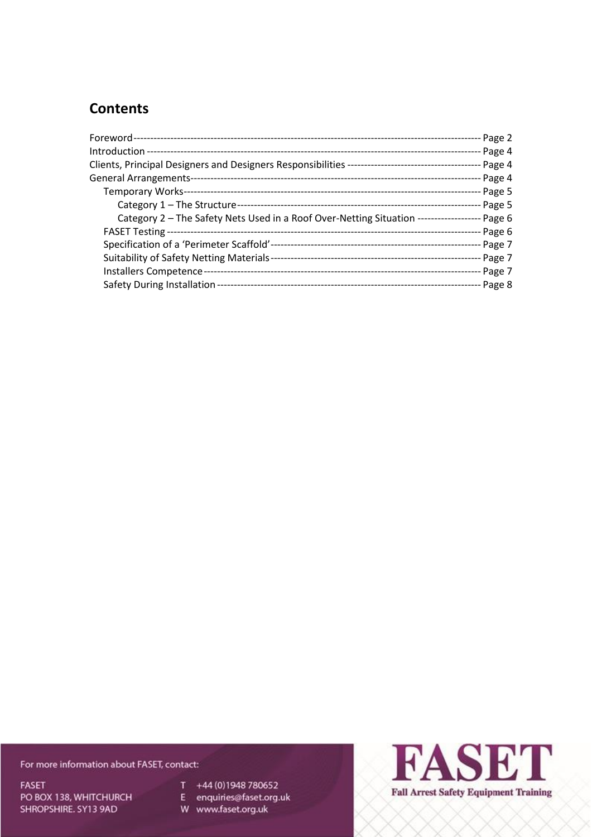# **Contents**

| General Arrangements-                                                                         | - Page 4  |
|-----------------------------------------------------------------------------------------------|-----------|
|                                                                                               | - Page 5  |
|                                                                                               | - Page 5  |
| Category 2 - The Safety Nets Used in a Roof Over-Netting Situation ------------------- Page 6 |           |
|                                                                                               | - Page 6  |
|                                                                                               | - Page 7  |
|                                                                                               |           |
|                                                                                               | -- Page 7 |
|                                                                                               | - Page 8  |

For more information about FASET, contact:

**FASET** PO BOX 138, WHITCHURCH SHROPSHIRE. SY13 9AD

T +44 (0) 1948 780652

E enquiries@faset.org.uk<br>W www.faset.org.uk

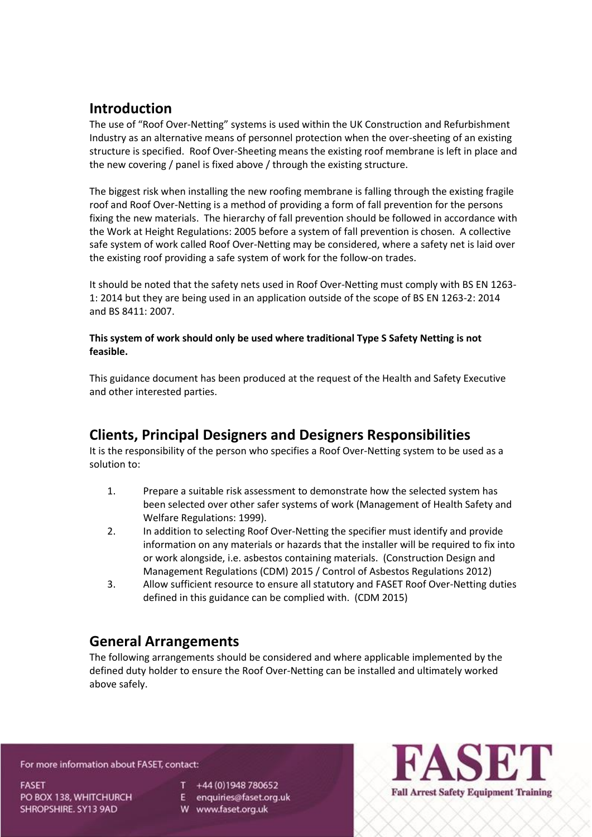# **Introduction**

The use of "Roof Over-Netting" systems is used within the UK Construction and Refurbishment Industry as an alternative means of personnel protection when the over-sheeting of an existing structure is specified. Roof Over-Sheeting means the existing roof membrane is left in place and the new covering / panel is fixed above / through the existing structure.

The biggest risk when installing the new roofing membrane is falling through the existing fragile roof and Roof Over-Netting is a method of providing a form of fall prevention for the persons fixing the new materials. The hierarchy of fall prevention should be followed in accordance with the Work at Height Regulations: 2005 before a system of fall prevention is chosen. A collective safe system of work called Roof Over-Netting may be considered, where a safety net is laid over the existing roof providing a safe system of work for the follow-on trades.

It should be noted that the safety nets used in Roof Over-Netting must comply with BS EN 1263- 1: 2014 but they are being used in an application outside of the scope of BS EN 1263-2: 2014 and BS 8411: 2007.

## **This system of work should only be used where traditional Type S Safety Netting is not feasible.**

This guidance document has been produced at the request of the Health and Safety Executive and other interested parties.

# **Clients, Principal Designers and Designers Responsibilities**

It is the responsibility of the person who specifies a Roof Over-Netting system to be used as a solution to:

- 1. Prepare a suitable risk assessment to demonstrate how the selected system has been selected over other safer systems of work (Management of Health Safety and Welfare Regulations: 1999).
- 2. In addition to selecting Roof Over-Netting the specifier must identify and provide information on any materials or hazards that the installer will be required to fix into or work alongside, i.e. asbestos containing materials. (Construction Design and Management Regulations (CDM) 2015 / Control of Asbestos Regulations 2012)
- 3. Allow sufficient resource to ensure all statutory and FASET Roof Over-Netting duties defined in this guidance can be complied with. (CDM 2015)

# **General Arrangements**

The following arrangements should be considered and where applicable implemented by the defined duty holder to ensure the Roof Over-Netting can be installed and ultimately worked above safely.

For more information about FASET, contact:

**FASET** PO BOX 138, WHITCHURCH SHROPSHIRE. SY13 9AD

 $T + 44(0)1948780652$ 

E enquiries@faset.org.uk

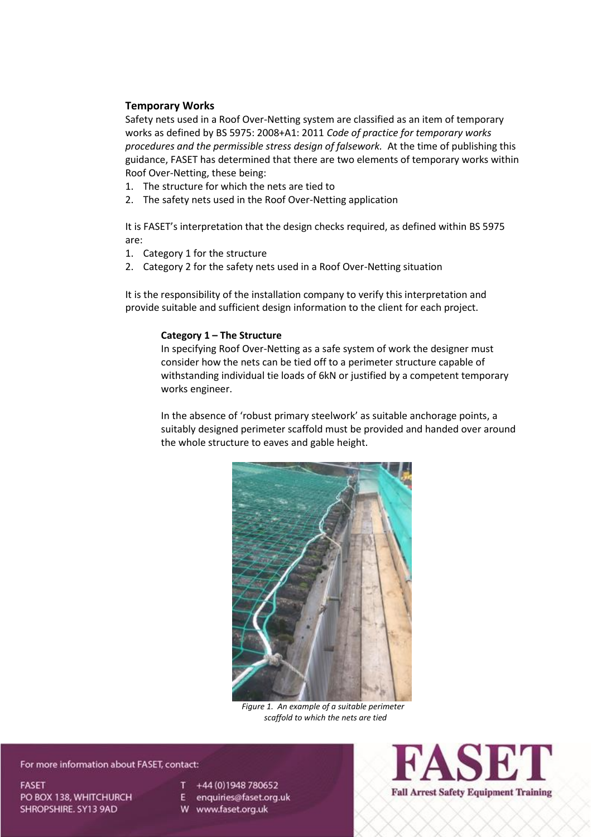## **Temporary Works**

Safety nets used in a Roof Over-Netting system are classified as an item of temporary works as defined by BS 5975: 2008+A1: 2011 *Code of practice for temporary works procedures and the permissible stress design of falsework.* At the time of publishing this guidance, FASET has determined that there are two elements of temporary works within Roof Over-Netting, these being:

- 1. The structure for which the nets are tied to
- 2. The safety nets used in the Roof Over-Netting application

It is FASET's interpretation that the design checks required, as defined within BS 5975 are:

- 1. Category 1 for the structure
- 2. Category 2 for the safety nets used in a Roof Over-Netting situation

It is the responsibility of the installation company to verify this interpretation and provide suitable and sufficient design information to the client for each project.

### **Category 1 – The Structure**

In specifying Roof Over-Netting as a safe system of work the designer must consider how the nets can be tied off to a perimeter structure capable of withstanding individual tie loads of 6kN or justified by a competent temporary works engineer.

In the absence of 'robust primary steelwork' as suitable anchorage points, a suitably designed perimeter scaffold must be provided and handed over around the whole structure to eaves and gable height.



*Figure 1. An example of a suitable perimeter scaffold to which the nets are tied*

For more information about FASET, contact:

**FASET** PO BOX 138, WHITCHURCH SHROPSHIRE, SY13 9AD

+44 (0) 1948 780652

E enquiries@faset.org.uk

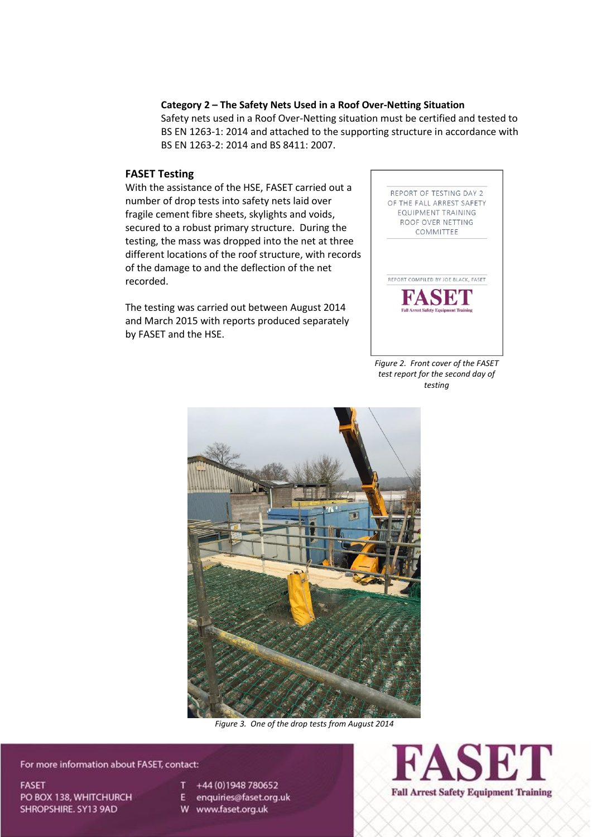### **Category 2 – The Safety Nets Used in a Roof Over-Netting Situation**

Safety nets used in a Roof Over-Netting situation must be certified and tested to BS EN 1263-1: 2014 and attached to the supporting structure in accordance with BS EN 1263-2: 2014 and BS 8411: 2007.

## **FASET Testing**

With the assistance of the HSE, FASET carried out a number of drop tests into safety nets laid over fragile cement fibre sheets, skylights and voids, secured to a robust primary structure. During the testing, the mass was dropped into the net at three different locations of the roof structure, with records of the damage to and the deflection of the net recorded.

The testing was carried out between August 2014 and March 2015 with reports produced separately by FASET and the HSE.



*Figure 2. Front cover of the FASET test report for the second day of testing*



*Figure 3. One of the drop tests from August 2014*

For more information about FASET, contact:

**FASET** PO BOX 138, WHITCHURCH SHROPSHIRE. SY13 9AD

+44 (0) 1948 780652

E enquiries@faset.org.uk

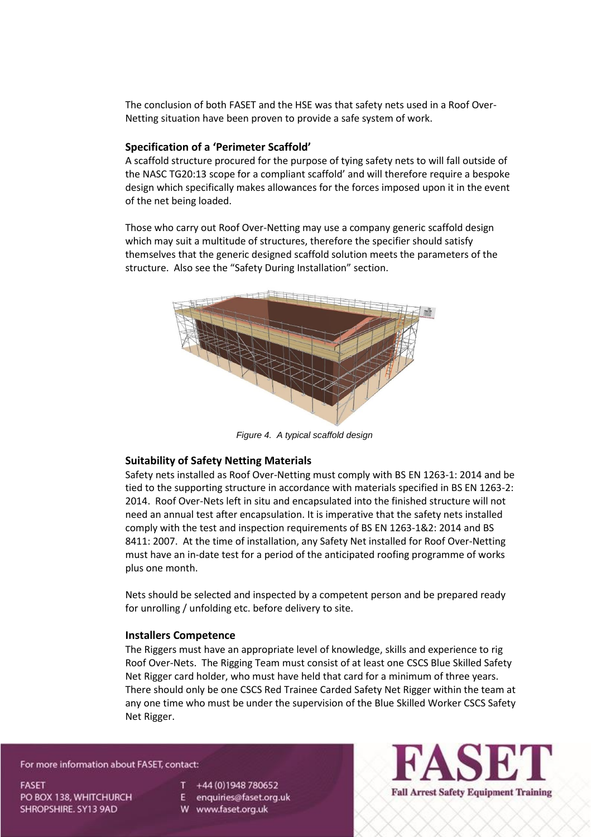The conclusion of both FASET and the HSE was that safety nets used in a Roof Over-Netting situation have been proven to provide a safe system of work.

#### **Specification of a 'Perimeter Scaffold'**

A scaffold structure procured for the purpose of tying safety nets to will fall outside of the NASC TG20:13 scope for a compliant scaffold' and will therefore require a bespoke design which specifically makes allowances for the forces imposed upon it in the event of the net being loaded.

Those who carry out Roof Over-Netting may use a company generic scaffold design which may suit a multitude of structures, therefore the specifier should satisfy themselves that the generic designed scaffold solution meets the parameters of the structure. Also see the "Safety During Installation" section.



*Figure 4. A typical scaffold design*

#### **Suitability of Safety Netting Materials**

Safety nets installed as Roof Over-Netting must comply with BS EN 1263-1: 2014 and be tied to the supporting structure in accordance with materials specified in BS EN 1263-2: 2014. Roof Over-Nets left in situ and encapsulated into the finished structure will not need an annual test after encapsulation. It is imperative that the safety nets installed comply with the test and inspection requirements of BS EN 1263-1&2: 2014 and BS 8411: 2007. At the time of installation, any Safety Net installed for Roof Over-Netting must have an in-date test for a period of the anticipated roofing programme of works plus one month.

Nets should be selected and inspected by a competent person and be prepared ready for unrolling / unfolding etc. before delivery to site.

#### **Installers Competence**

The Riggers must have an appropriate level of knowledge, skills and experience to rig Roof Over-Nets. The Rigging Team must consist of at least one CSCS Blue Skilled Safety Net Rigger card holder, who must have held that card for a minimum of three years. There should only be one CSCS Red Trainee Carded Safety Net Rigger within the team at any one time who must be under the supervision of the Blue Skilled Worker CSCS Safety Net Rigger.

#### For more information about FASET, contact:

**FASET** PO BOX 138, WHITCHURCH SHROPSHIRE. SY13 9AD

+44 (0) 1948 780652

E enquiries@faset.org.uk